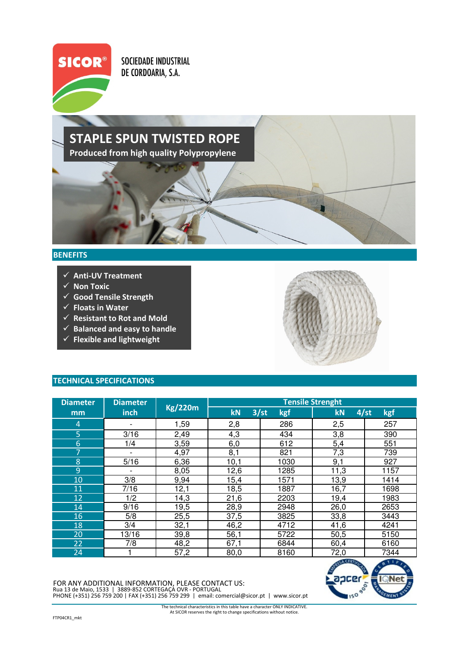

SOCIEDADE INDUSTRIAL DE CORDOARIA, S.A.

## STAPLE SPUN TWISTED ROPE Produced from high quality Polypropylene

## **BENEFITS**

- $\sqrt{\sqrt{2}}$  Anti-UV Treatment
- $\checkmark$  Non Toxic
- $\checkmark$  Good Tensile Strength
- $\checkmark$  Floats in Water
- $\checkmark$  Resistant to Rot and Mold
- $\checkmark$  Balanced and easy to handle
- $\checkmark$  Flexible and lightweight



## TECHNICAL SPECIFICATIONS

| <b>Diameter</b> | <b>Diameter</b>          | <b>Kg/220m</b> | <b>Tensile Strenght</b> |             |                   |      |
|-----------------|--------------------------|----------------|-------------------------|-------------|-------------------|------|
| mm              | inch                     |                | kN                      | 3/st<br>kgf | 4/st<br>kN        | kgf  |
| $\overline{4}$  |                          | 1,59           | 2,8                     | 286         | 2,5               | 257  |
| 5               | 3/16                     | 2,49           | 4,3                     | 434         | 3,8               | 390  |
| 6               | 1/4                      | 3,59           | 6,0                     | 612         | 5,4               | 551  |
| 7               | $\overline{\phantom{a}}$ | 4,97           | 8,1                     | 821         | 7,3               | 739  |
| 8               | 5/16                     | 6,36           | 10,1                    | 1030        | 9,1               | 927  |
| 9               |                          | 8,05           | 12,6                    | 1285        | 11,3              | 1157 |
| 10              | 3/8                      | 9,94           | 15,4                    | 1571        | 13,9              | 1414 |
| 11              | 7/16                     | 12,1           | 18,5                    | 1887        | 16,7              | 1698 |
| 12              | 1/2                      | 14,3           | 21,6                    | 2203        | 19,4              | 1983 |
| 14              | 9/16                     | 19,5           | 28,9                    | 2948        | 26,0              | 2653 |
| 16              | 5/8                      | 25,5           | 37,5                    | 3825        | 33,8              | 3443 |
| 18              | 3/4                      | 32,1           | 46,2                    | 4712        | $\overline{4}1,6$ | 4241 |
| 20              | 13/16                    | 39,8           | 56,1                    | 5722        | 50,5              | 5150 |
| 22              | 7/8                      | 48,2           | 67,1                    | 6844        | 60,4              | 6160 |
| 24              |                          | 57,2           | 80,0                    | 8160        | 72,0              | 7344 |

PHONE (+351) 256 759 200 | FAX (+351) 256 759 299 | email: comercial@sicor.pt | www.sicor.pt FOR ANY ADDITIONAL INFORMATION, PLEASE CONTACT US: Rua 13 de Maio, 1533 | 3889-852 CORTEGAÇA OVR - PORTUGAL



At SICOR reserves the right to change specifications without notice. The technical characteristics in this table have a character ONLY INDICATIVE.